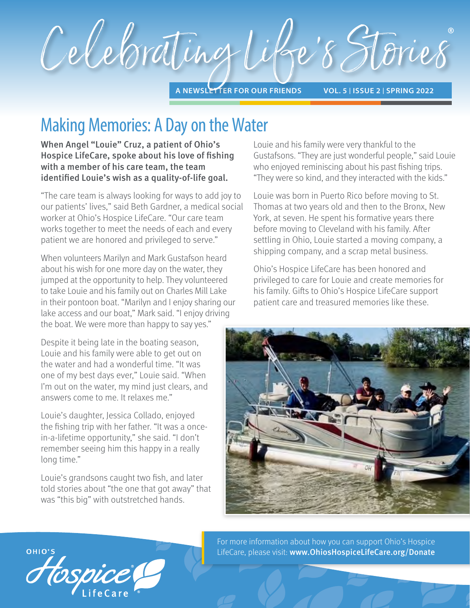

# Making Memories: A Day on the Water

When Angel "Louie" Cruz, a patient of Ohio's Hospice LifeCare, spoke about his love of fishing with a member of his care team, the team identified Louie's wish as a quality-of-life goal.

"The care team is always looking for ways to add joy to our patients' lives," said Beth Gardner, a medical social worker at Ohio's Hospice LifeCare. "Our care team works together to meet the needs of each and every patient we are honored and privileged to serve."

When volunteers Marilyn and Mark Gustafson heard about his wish for one more day on the water, they jumped at the opportunity to help. They volunteered to take Louie and his family out on Charles Mill Lake in their pontoon boat. "Marilyn and I enjoy sharing our lake access and our boat," Mark said. "I enjoy driving the boat. We were more than happy to say yes."

Despite it being late in the boating season, Louie and his family were able to get out on the water and had a wonderful time. "It was one of my best days ever," Louie said. "When I'm out on the water, my mind just clears, and answers come to me. It relaxes me."

Louie's daughter, Jessica Collado, enjoyed the fishing trip with her father. "It was a oncein-a-lifetime opportunity," she said. "I don't remember seeing him this happy in a really long time."

Louie's grandsons caught two fish, and later told stories about "the one that got away" that was "this big" with outstretched hands.

Louie and his family were very thankful to the Gustafsons. "They are just wonderful people," said Louie who enjoyed reminiscing about his past fishing trips. "They were so kind, and they interacted with the kids."

Louie was born in Puerto Rico before moving to St. Thomas at two years old and then to the Bronx, New York, at seven. He spent his formative years there before moving to Cleveland with his family. After settling in Ohio, Louie started a moving company, a shipping company, and a scrap metal business.

Ohio's Hospice LifeCare has been honored and privileged to care for Louie and create memories for his family. Gifts to Ohio's Hospice LifeCare support patient care and treasured memories like these.



For more information about how you can support Ohio's Hospice LifeCare, please visit: www.OhiosHospiceLifeCare.org/Donate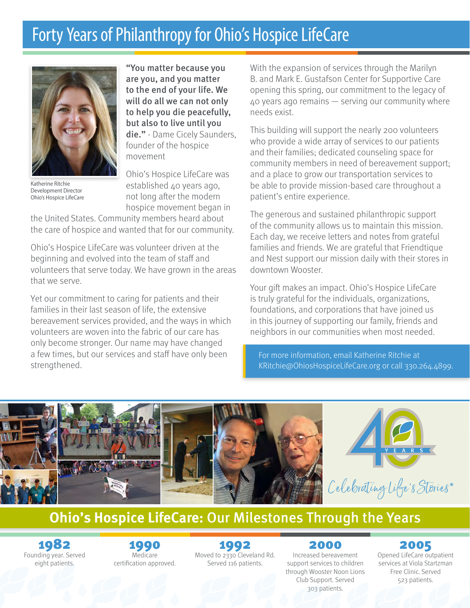# Forty Years of Philanthropy for Ohio's Hospice LifeCare



Katherine Ritchie Development Director Ohio's Hospice LifeCare

"You matter because you are you, and you matter to the end of your life. We will do all we can not only to help you die peacefully, but also to live until you die." - Dame Cicely Saunders, founder of the hospice movement

Ohio's Hospice LifeCare was established 40 years ago, not long after the modern hospice movement began in

the United States. Community members heard about the care of hospice and wanted that for our community.

Ohio's Hospice LifeCare was volunteer driven at the beginning and evolved into the team of staff and volunteers that serve today. We have grown in the areas that we serve.

Yet our commitment to caring for patients and their families in their last season of life, the extensive bereavement services provided, and the ways in which volunteers are woven into the fabric of our care has only become stronger. Our name may have changed a few times, but our services and staff have only been strengthened.

With the expansion of services through the Marilyn B. and Mark E. Gustafson Center for Supportive Care opening this spring, our commitment to the legacy of 40 years ago remains — serving our community where needs exist.

This building will support the nearly 200 volunteers who provide a wide array of services to our patients and their families; dedicated counseling space for community members in need of bereavement support; and a place to grow our transportation services to be able to provide mission-based care throughout a patient's entire experience.

The generous and sustained philanthropic support of the community allows us to maintain this mission. Each day, we receive letters and notes from grateful families and friends. We are grateful that Friendtique and Nest support our mission daily with their stores in downtown Wooster.

Your gift makes an impact. Ohio's Hospice LifeCare is truly grateful for the individuals, organizations, foundations, and corporations that have joined us in this journey of supporting our family, friends and neighbors in our communities when most needed.

For more information, email Katherine Ritchie at KRitchie@OhiosHospiceLifeCare.org or call 330.264.4899.



### **Ohio's Hospice LifeCare:** Our Milestones Through the Years

1982 Founding year. Served eight patients.

1990 Medicare certification approved. 1992

Moved to 2330 Cleveland Rd. Served 116 patients.

2000 Increased bereavement support services to children through Wooster Noon Lions Club Support. Served 303 patients.

### 2005

Opened LifeCare outpatient services at Viola Startzman Free Clinic. Served 523 patients.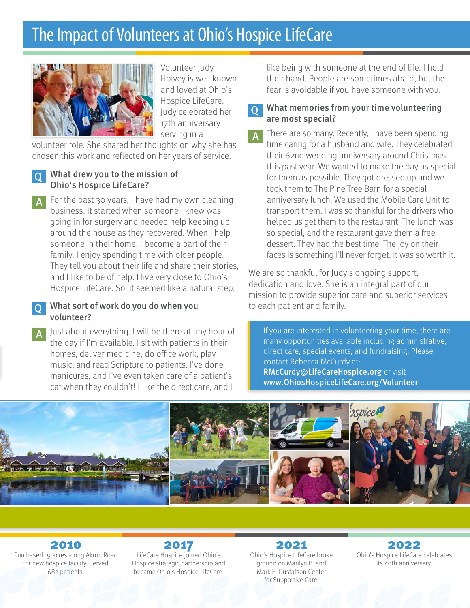# The Impact of Volunteers at Ohio's Hospice LifeCare



Volunteer Judy Holvey is well known and loved at Ohio's Hospice LifeCare. Judy celebrated her 17th anniversary serving in a

volunteer role. She shared her thoughts on why she has chosen this work and reflected on her years of service.

#### Q What drew you to the mission of Ohio's Hospice LifeCare?

For the past 30 years, I have had my own cleaning business. It started when someone I knew was going in for surgery and needed help keeping up around the house as they recovered. When I help someone in their home, I become a part of their family. I enjoy spending time with older people. They tell you about their life and share their stories, and I like to be of help. I live very close to Ohio's Hospice LifeCare. So, it seemed like a natural step.

#### Q What sort of work do you do when you volunteer?

Just about everything. I will be there at any hour of the day if I'm available. I sit with patients in their homes, deliver medicine, do office work, play music, and read Scripture to patients. I've done manicures, and I've even taken care of a patient's cat when they couldn't! I like the direct care, and I

like being with someone at the end of life. I hold their hand. People are sometimes afraid, but the fear is avoidable if you have someone with you.

#### What memories from your time volunteering are most special?

There are so many. Recently, I have been spending time caring for a husband and wife. They celebrated their 62nd wedding anniversary around Christmas this past year. We wanted to make the day as special for them as possible. They got dressed up and we took them to The Pine Tree Barn for a special anniversary lunch. We used the Mobile Care Unit to transport them. I was so thankful for the drivers who helped us get them to the restaurant. The lunch was so special, and the restaurant gave them a free dessert. They had the best time. The joy on their faces is something I'll never forget. It was so worth it.

We are so thankful for Judy's ongoing support, dedication and love. She is an integral part of our mission to provide superior care and superior services to each patient and family.

If you are interested in volunteering your time, there are many opportunities available including administrative, direct care, special events, and fundraising. Please contact Rebecca McCurdy at: RMcCurdy@LifeCareHospice.org or visit www.OhiosHospiceLifeCare.org/Volunteer



2010 Purchased 19 acres along Akron Road for new hospice facility. Served 682 patients.

2017 LifeCare Hospice joined Ohio's Hospice strategic partnership and became Ohio's Hospice LifeCare.

#### 2021 Ohio's Hospice LifeCare broke ground on Marilyn B. and Mark E. Gustafson Center for Supportive Care.

2022 Ohio's Hospice LifeCare celebrates its 40th anniversary.